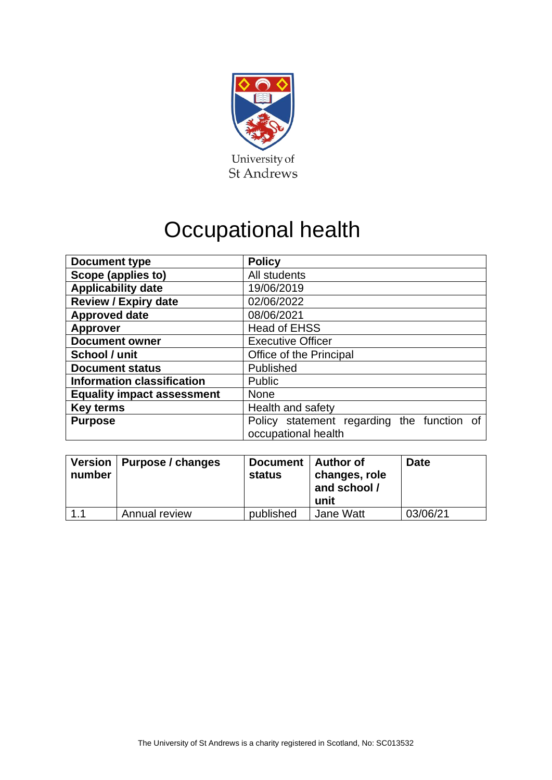

## Occupational health

| <b>Policy</b>                                                     |  |  |  |
|-------------------------------------------------------------------|--|--|--|
| All students                                                      |  |  |  |
| 19/06/2019                                                        |  |  |  |
| 02/06/2022                                                        |  |  |  |
| 08/06/2021                                                        |  |  |  |
| <b>Head of EHSS</b>                                               |  |  |  |
| <b>Executive Officer</b>                                          |  |  |  |
| Office of the Principal                                           |  |  |  |
| Published                                                         |  |  |  |
| Public                                                            |  |  |  |
| <b>None</b>                                                       |  |  |  |
| Health and safety                                                 |  |  |  |
| Policy statement regarding the function of<br>occupational health |  |  |  |
|                                                                   |  |  |  |

| number | Version   Purpose / changes | Document   Author of<br>status | changes, role<br>and school /<br>unit | <b>Date</b> |
|--------|-----------------------------|--------------------------------|---------------------------------------|-------------|
| 1.1    | Annual review               | published                      | Jane Watt                             | 03/06/21    |